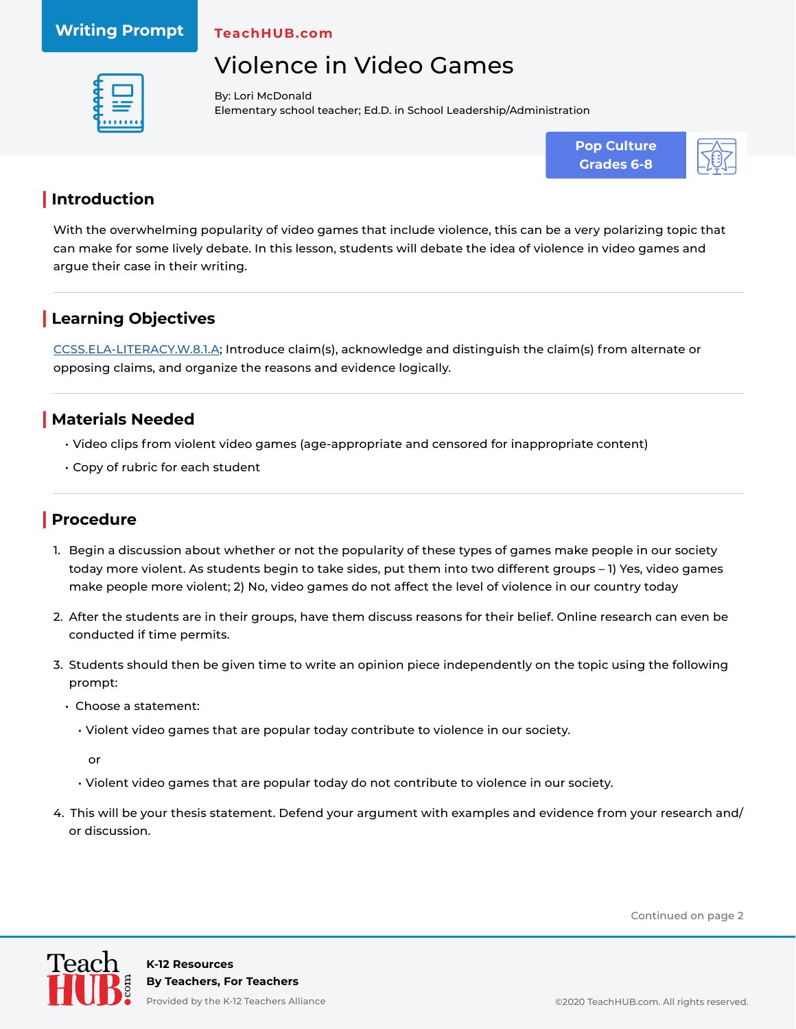### **Writing Prompt**

**TeachHUB.com**

# Violence in Video Games



By: Lori McDonald Elementary school teacher; Ed.D. in School Leadership/Administration





## **| Introduction**

With the overwhelming popularity of video games that include violence, this can be a very polarizing topic that can make for some lively debate. In this lesson, students will debate the idea of violence in video games and argue their case in their writing.

## **| Learning Objectives**

[CCSS.ELA-LITERACY.W.8.1.A](http://www.corestandards.org/ELA-Literacy/W/8/1/a/); Introduce claim(s), acknowledge and distinguish the claim(s) from alternate or opposing claims, and organize the reasons and evidence logically.

#### **| Materials Needed**

- Video clips from violent video games (age-appropriate and censored for inappropriate content)
- Copy of rubric for each student

### **| Procedure**

- 1. Begin a discussion about whether or not the popularity of these types of games make people in our society today more violent. As students begin to take sides, put them into two different groups – 1) Yes, video games make people more violent; 2) No, video games do not affect the level of violence in our country today
- 2. After the students are in their groups, have them discuss reasons for their belief. Online research can even be conducted if time permits.
- 3. Students should then be given time to write an opinion piece independently on the topic using the following prompt:
	- Choose a statement:
		- Violent video games that are popular today contribute to violence in our society.

or

- Violent video games that are popular today do not contribute to violence in our society.
- 4. This will be your thesis statement. Defend your argument with examples and evidence from your research and/ or discussion.

Continued on page 2